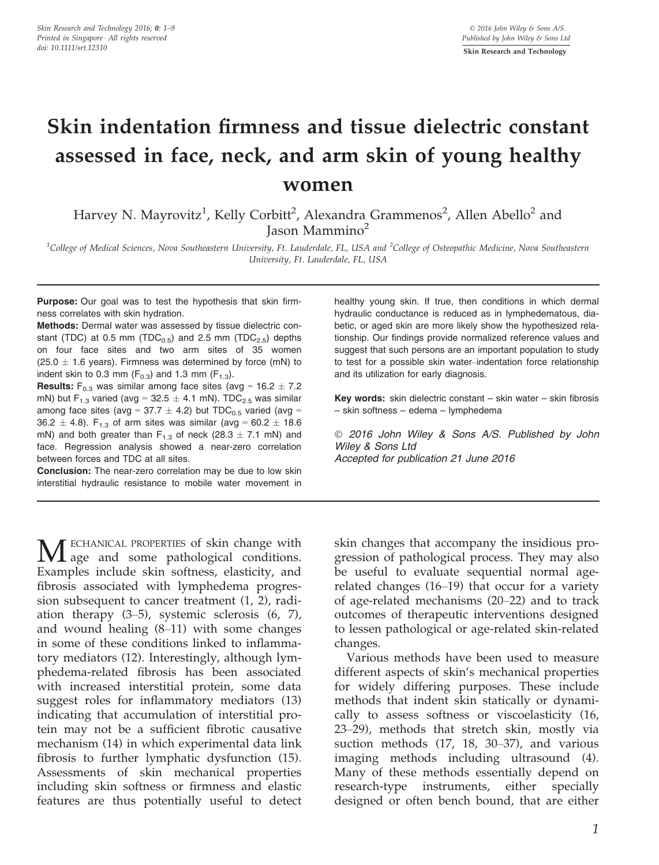# Skin indentation firmness and tissue dielectric constant assessed in face, neck, and arm skin of young healthy women

Harvey N. Mayrovitz<sup>1</sup>, Kelly Corbitt<sup>2</sup>, Alexandra Grammenos<sup>2</sup>, Allen Abello<sup>2</sup> and Jason Mammino<sup>2</sup>

 $^1$ College of Medical Sciences, Nova Southeastern University, Ft. Lauderdale, FL, USA and  $^2$ College of Osteopathic Medicine, Nova Southeastern University, Ft. Lauderdale, FL, USA

Purpose: Our goal was to test the hypothesis that skin firmness correlates with skin hydration.

Methods: Dermal water was assessed by tissue dielectric constant (TDC) at 0.5 mm (TDC $_{0.5}$ ) and 2.5 mm (TDC $_{2.5}$ ) depths on four face sites and two arm sites of 35 women (25.0  $\pm$  1.6 years). Firmness was determined by force (mN) to indent skin to 0.3 mm  $(F<sub>0.3</sub>)$  and 1.3 mm  $(F<sub>1.3</sub>)$ .

**Results:** F<sub>0.3</sub> was similar among face sites (avg =  $16.2 \pm 7.2$ ) mN) but F<sub>1.3</sub> varied (avg =  $32.5 \pm 4.1$  mN). TDC<sub>2.5</sub> was similar among face sites (avg = 37.7  $\pm$  4.2) but TDC<sub>0.5</sub> varied (avg = 36.2  $\pm$  4.8). F<sub>1.3</sub> of arm sites was similar (avg = 60.2  $\pm$  18.6 mN) and both greater than  $F_{1,3}$  of neck (28.3  $\pm$  7.1 mN) and face. Regression analysis showed a near-zero correlation between forces and TDC at all sites.

Conclusion: The near-zero correlation may be due to low skin interstitial hydraulic resistance to mobile water movement in

**M** ECHANICAL PROPERTIES of skin change with age and some pathological conditions. Examples include skin softness, elasticity, and fibrosis associated with lymphedema progression subsequent to cancer treatment (1, 2), radiation therapy (3–5), systemic sclerosis (6, 7), and wound healing (8–11) with some changes in some of these conditions linked to inflammatory mediators (12). Interestingly, although lymphedema-related fibrosis has been associated with increased interstitial protein, some data suggest roles for inflammatory mediators (13) indicating that accumulation of interstitial protein may not be a sufficient fibrotic causative mechanism (14) in which experimental data link fibrosis to further lymphatic dysfunction (15). Assessments of skin mechanical properties including skin softness or firmness and elastic features are thus potentially useful to detect

healthy young skin. If true, then conditions in which dermal hydraulic conductance is reduced as in lymphedematous, diabetic, or aged skin are more likely show the hypothesized relationship. Our findings provide normalized reference values and suggest that such persons are an important population to study to test for a possible skin water–indentation force relationship and its utilization for early diagnosis.

Key words: skin dielectric constant – skin water – skin fibrosis – skin softness – edema – lymphedema

 2016 John Wiley & Sons A/S. Published by John Wiley & Sons Ltd Accepted for publication 21 June 2016

skin changes that accompany the insidious progression of pathological process. They may also be useful to evaluate sequential normal agerelated changes (16–19) that occur for a variety of age-related mechanisms (20–22) and to track outcomes of therapeutic interventions designed to lessen pathological or age-related skin-related changes.

Various methods have been used to measure different aspects of skin's mechanical properties for widely differing purposes. These include methods that indent skin statically or dynamically to assess softness or viscoelasticity (16, 23–29), methods that stretch skin, mostly via suction methods (17, 18, 30–37), and various imaging methods including ultrasound (4). Many of these methods essentially depend on research-type instruments, either specially designed or often bench bound, that are either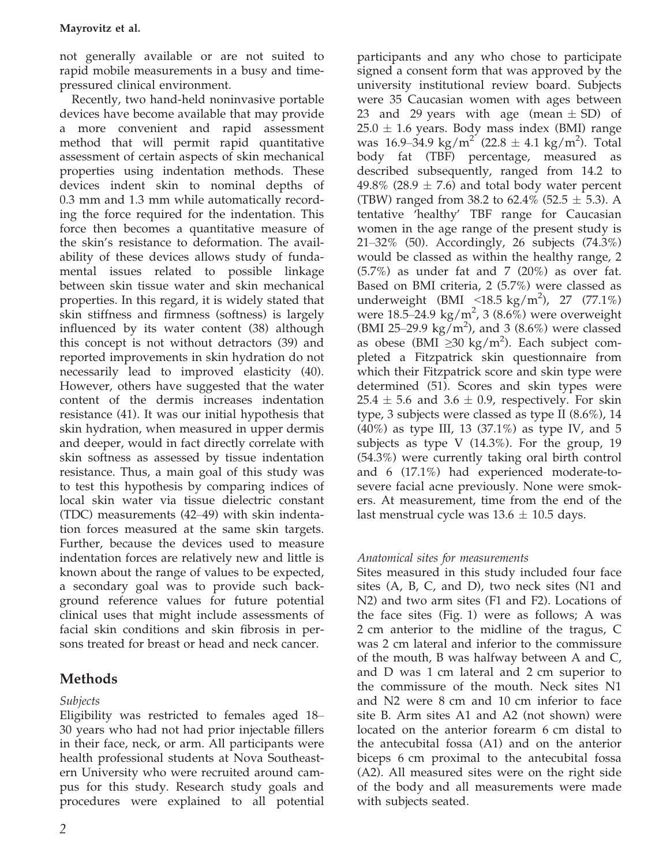not generally available or are not suited to rapid mobile measurements in a busy and timepressured clinical environment.

Recently, two hand-held noninvasive portable devices have become available that may provide a more convenient and rapid assessment method that will permit rapid quantitative assessment of certain aspects of skin mechanical properties using indentation methods. These devices indent skin to nominal depths of 0.3 mm and 1.3 mm while automatically recording the force required for the indentation. This force then becomes a quantitative measure of the skin's resistance to deformation. The availability of these devices allows study of fundamental issues related to possible linkage between skin tissue water and skin mechanical properties. In this regard, it is widely stated that skin stiffness and firmness (softness) is largely influenced by its water content (38) although this concept is not without detractors (39) and reported improvements in skin hydration do not necessarily lead to improved elasticity (40). However, others have suggested that the water content of the dermis increases indentation resistance (41). It was our initial hypothesis that skin hydration, when measured in upper dermis and deeper, would in fact directly correlate with skin softness as assessed by tissue indentation resistance. Thus, a main goal of this study was to test this hypothesis by comparing indices of local skin water via tissue dielectric constant (TDC) measurements (42–49) with skin indentation forces measured at the same skin targets. Further, because the devices used to measure indentation forces are relatively new and little is known about the range of values to be expected, a secondary goal was to provide such background reference values for future potential clinical uses that might include assessments of facial skin conditions and skin fibrosis in persons treated for breast or head and neck cancer.

# Methods

# Subjects

Eligibility was restricted to females aged 18– 30 years who had not had prior injectable fillers in their face, neck, or arm. All participants were health professional students at Nova Southeastern University who were recruited around campus for this study. Research study goals and procedures were explained to all potential

participants and any who chose to participate signed a consent form that was approved by the university institutional review board. Subjects were 35 Caucasian women with ages between 23 and 29 years with age (mean  $\pm$  SD) of  $25.0 \pm 1.6$  years. Body mass index (BMI) range was  $16.9-34.9 \text{ kg/m}^2 (22.8 \pm 4.1 \text{ kg/m}^2)$ . Total body fat (TBF) percentage, measured as described subsequently, ranged from 14.2 to 49.8% (28.9  $\pm$  7.6) and total body water percent (TBW) ranged from 38.2 to 62.4% (52.5  $\pm$  5.3). A tentative 'healthy' TBF range for Caucasian women in the age range of the present study is 21–32% (50). Accordingly, 26 subjects (74.3%) would be classed as within the healthy range, 2  $(5.7%)$  as under fat and 7  $(20%)$  as over fat. Based on BMI criteria, 2 (5.7%) were classed as underweight (BMI <18.5 kg/m<sup>2</sup>), 27 (77.1%) were  $18.5 - 24.9 \text{ kg/m}^2$ , 3 (8.6%) were overweight (BMI 25-29.9 kg/m<sup>2</sup>), and 3 (8.6%) were classed as obese (BMI ≥30 kg/m<sup>2</sup>). Each subject completed a Fitzpatrick skin questionnaire from which their Fitzpatrick score and skin type were determined (51). Scores and skin types were  $25.4 \pm 5.6$  and  $3.6 \pm 0.9$ , respectively. For skin type, 3 subjects were classed as type II (8.6%), 14 (40%) as type III, 13 (37.1%) as type IV, and 5 subjects as type V (14.3%). For the group, 19 (54.3%) were currently taking oral birth control and 6 (17.1%) had experienced moderate-tosevere facial acne previously. None were smokers. At measurement, time from the end of the last menstrual cycle was  $13.6 \pm 10.5$  days.

## Anatomical sites for measurements

Sites measured in this study included four face sites (A, B, C, and D), two neck sites (N1 and N2) and two arm sites (F1 and F2). Locations of the face sites (Fig. 1) were as follows; A was 2 cm anterior to the midline of the tragus, C was 2 cm lateral and inferior to the commissure of the mouth, B was halfway between A and C, and D was 1 cm lateral and 2 cm superior to the commissure of the mouth. Neck sites N1 and N2 were 8 cm and 10 cm inferior to face site B. Arm sites A1 and A2 (not shown) were located on the anterior forearm 6 cm distal to the antecubital fossa (A1) and on the anterior biceps 6 cm proximal to the antecubital fossa (A2). All measured sites were on the right side of the body and all measurements were made with subjects seated.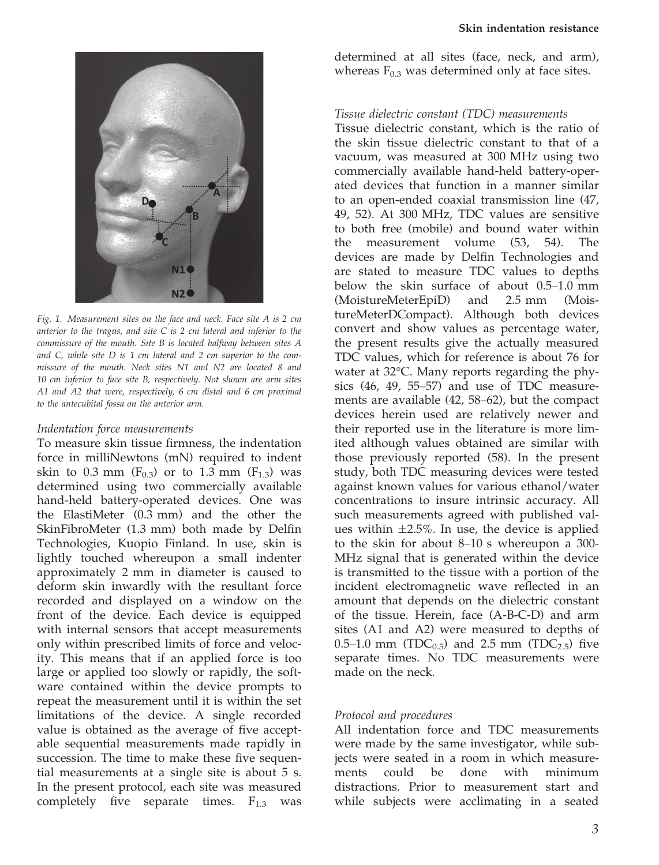

Fig. 1. Measurement sites on the face and neck. Face site A is 2 cm anterior to the tragus, and site  $C$  is  $2$  cm lateral and inferior to the commissure of the mouth. Site B is located halfway between sites A and C, while site D is 1 cm lateral and 2 cm superior to the commissure of the mouth. Neck sites N1 and N2 are located 8 and 10 cm inferior to face site B, respectively. Not shown are arm sites A1 and A2 that were, respectively, 6 cm distal and 6 cm proximal to the antecubital fossa on the anterior arm.

#### Indentation force measurements

To measure skin tissue firmness, the indentation force in milliNewtons (mN) required to indent skin to 0.3 mm ( $F_{0,3}$ ) or to 1.3 mm ( $F_{1,3}$ ) was determined using two commercially available hand-held battery-operated devices. One was the ElastiMeter (0.3 mm) and the other the SkinFibroMeter (1.3 mm) both made by Delfin Technologies, Kuopio Finland. In use, skin is lightly touched whereupon a small indenter approximately 2 mm in diameter is caused to deform skin inwardly with the resultant force recorded and displayed on a window on the front of the device. Each device is equipped with internal sensors that accept measurements only within prescribed limits of force and velocity. This means that if an applied force is too large or applied too slowly or rapidly, the software contained within the device prompts to repeat the measurement until it is within the set limitations of the device. A single recorded value is obtained as the average of five acceptable sequential measurements made rapidly in succession. The time to make these five sequential measurements at a single site is about 5 s. In the present protocol, each site was measured completely five separate times.  $F_{1,3}$  was

determined at all sites (face, neck, and arm), whereas  $F_{0.3}$  was determined only at face sites.

#### Tissue dielectric constant (TDC) measurements

Tissue dielectric constant, which is the ratio of the skin tissue dielectric constant to that of a vacuum, was measured at 300 MHz using two commercially available hand-held battery-operated devices that function in a manner similar to an open-ended coaxial transmission line (47, 49, 52). At 300 MHz, TDC values are sensitive to both free (mobile) and bound water within the measurement volume (53, 54). The devices are made by Delfin Technologies and are stated to measure TDC values to depths below the skin surface of about 0.5–1.0 mm (MoistureMeterEpiD) and 2.5 mm (MoistureMeterDCompact). Although both devices convert and show values as percentage water, the present results give the actually measured TDC values, which for reference is about 76 for water at 32°C. Many reports regarding the physics (46, 49, 55–57) and use of TDC measurements are available (42, 58–62), but the compact devices herein used are relatively newer and their reported use in the literature is more limited although values obtained are similar with those previously reported (58). In the present study, both TDC measuring devices were tested against known values for various ethanol/water concentrations to insure intrinsic accuracy. All such measurements agreed with published values within  $\pm 2.5\%$ . In use, the device is applied to the skin for about 8–10 s whereupon a 300- MHz signal that is generated within the device is transmitted to the tissue with a portion of the incident electromagnetic wave reflected in an amount that depends on the dielectric constant of the tissue. Herein, face (A-B-C-D) and arm sites (A1 and A2) were measured to depths of 0.5–1.0 mm (TDC<sub>0.5</sub>) and 2.5 mm (TDC<sub>2.5</sub>) five separate times. No TDC measurements were made on the neck.

#### Protocol and procedures

All indentation force and TDC measurements were made by the same investigator, while subjects were seated in a room in which measurements could be done with minimum distractions. Prior to measurement start and while subjects were acclimating in a seated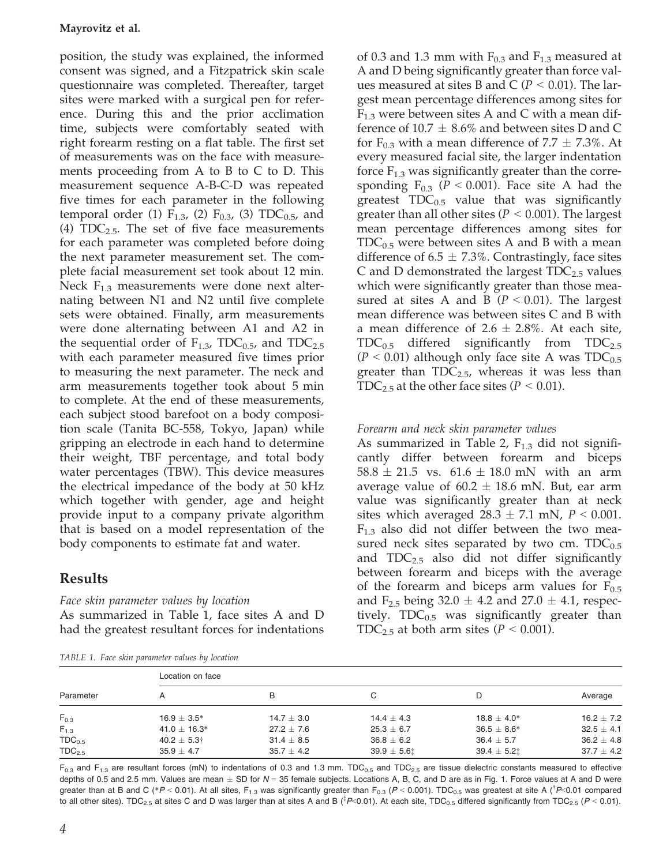position, the study was explained, the informed consent was signed, and a Fitzpatrick skin scale questionnaire was completed. Thereafter, target sites were marked with a surgical pen for reference. During this and the prior acclimation time, subjects were comfortably seated with right forearm resting on a flat table. The first set of measurements was on the face with measurements proceeding from A to B to C to D. This measurement sequence A-B-C-D was repeated five times for each parameter in the following temporal order (1)  $F_{1,3}$ , (2)  $F_{0,3}$ , (3) TDC<sub>0.5</sub>, and (4)  $TDC_{2.5}$ . The set of five face measurements for each parameter was completed before doing the next parameter measurement set. The complete facial measurement set took about 12 min. Neck  $F_{1,3}$  measurements were done next alternating between N1 and N2 until five complete sets were obtained. Finally, arm measurements were done alternating between A1 and A2 in the sequential order of  $F_{1,3}$ , TDC<sub>0.5</sub>, and TDC<sub>2.5</sub> with each parameter measured five times prior to measuring the next parameter. The neck and arm measurements together took about 5 min to complete. At the end of these measurements, each subject stood barefoot on a body composition scale (Tanita BC-558, Tokyo, Japan) while gripping an electrode in each hand to determine their weight, TBF percentage, and total body water percentages (TBW). This device measures the electrical impedance of the body at 50 kHz which together with gender, age and height provide input to a company private algorithm that is based on a model representation of the body components to estimate fat and water.

# Results

## Face skin parameter values by location

As summarized in Table 1, face sites A and D had the greatest resultant forces for indentations

TABLE 1. Face skin parameter values by location

of 0.3 and 1.3 mm with  $F_{0,3}$  and  $F_{1,3}$  measured at A and D being significantly greater than force values measured at sites B and C ( $P < 0.01$ ). The largest mean percentage differences among sites for  $F_{1,3}$  were between sites A and C with a mean difference of  $10.7 \pm 8.6\%$  and between sites D and C for  $F_{0,3}$  with a mean difference of 7.7  $\pm$  7.3%. At every measured facial site, the larger indentation force  $F_{1,3}$  was significantly greater than the corresponding  $F_{0,3}$  ( $P < 0.001$ ). Face site A had the greatest  $TDC_{0.5}$  value that was significantly greater than all other sites ( $P < 0.001$ ). The largest mean percentage differences among sites for  $TDC_{0.5}$  were between sites A and B with a mean difference of 6.5  $\pm$  7.3%. Contrastingly, face sites C and D demonstrated the largest  $TDC_{2.5}$  values which were significantly greater than those measured at sites A and B ( $P < 0.01$ ). The largest mean difference was between sites C and B with a mean difference of  $2.6 \pm 2.8\%$ . At each site,  $TDC_{0.5}$  differed significantly from  $TDC_{2.5}$  $(P < 0.01)$  although only face site A was TDC<sub>0.5</sub> greater than  $TDC_{2.5}$ , whereas it was less than TDC<sub>2.5</sub> at the other face sites ( $P < 0.01$ ).

## Forearm and neck skin parameter values

As summarized in Table 2,  $F_{1,3}$  did not significantly differ between forearm and biceps  $58.8 \pm 21.5$  vs.  $61.6 \pm 18.0$  mN with an arm average value of  $60.2 \pm 18.6$  mN. But, ear arm value was significantly greater than at neck sites which averaged  $28.3 \pm 7.1$  mN,  $P < 0.001$ .  $F<sub>1.3</sub>$  also did not differ between the two measured neck sites separated by two cm.  $TDC_{0.5}$ and  $TDC_{2.5}$  also did not differ significantly between forearm and biceps with the average of the forearm and biceps arm values for  $F_{0.5}$ and F<sub>2.5</sub> being 32.0  $\pm$  4.2 and 27.0  $\pm$  4.1, respectively.  $TDC_{0.5}$  was significantly greater than TDC<sub>2.5</sub> at both arm sites ( $P < 0.001$ ).

| Parameter          | Location on face       |                |                 |                  |                |  |  |  |
|--------------------|------------------------|----------------|-----------------|------------------|----------------|--|--|--|
|                    | А                      | в              | C               | D                | Average        |  |  |  |
| $F_{0.3}$          | $16.9 \pm 3.5^*$       | $14.7 \pm 3.0$ | $14.4 \pm 4.3$  | $18.8 \pm 4.0*$  | $16.2 \pm 7.2$ |  |  |  |
| $F_{1.3}$          | 41.0 $\pm$ 16.3*       | $27.2 + 7.6$   | $25.3 \pm 6.7$  | $36.5 \pm 8.6^*$ | $32.5 \pm 4.1$ |  |  |  |
| $TDC_{0.5}$        | $40.2 \pm 5.3^{\circ}$ | $31.4 \pm 8.5$ | $36.8 \pm 6.2$  | $36.4 \pm 5.7$   | $36.2 \pm 4.8$ |  |  |  |
| TDC <sub>2.5</sub> | $35.9 \pm 4.7$         | $35.7 \pm 4.2$ | $39.9 \pm 5.61$ | $39.4 \pm 5.21$  | $37.7 \pm 4.2$ |  |  |  |

 $F_{0.3}$  and  $F_{1.3}$  are resultant forces (mN) to indentations of 0.3 and 1.3 mm. TDC<sub>0.5</sub> and TDC<sub>2.5</sub> are tissue dielectric constants measured to effective depths of 0.5 and 2.5 mm. Values are mean  $\pm$  SD for  $N = 35$  female subjects. Locations A, B, C, and D are as in Fig. 1. Force values at A and D were greater than at B and C (\*P < 0.01). At all sites,  $F_{1.3}$  was significantly greater than  $F_{0.3}$  (P < 0.001). TDC<sub>0.5</sub> was greatest at site A (<sup>†</sup>P < 0.01 compared to all other sites). TDC<sub>2.5</sub> at sites C and D was larger than at sites A and B (<sup>‡</sup>P<0.01). At each site, TDC<sub>0.5</sub> differed significantly from TDC<sub>2.5</sub> (P < 0.01).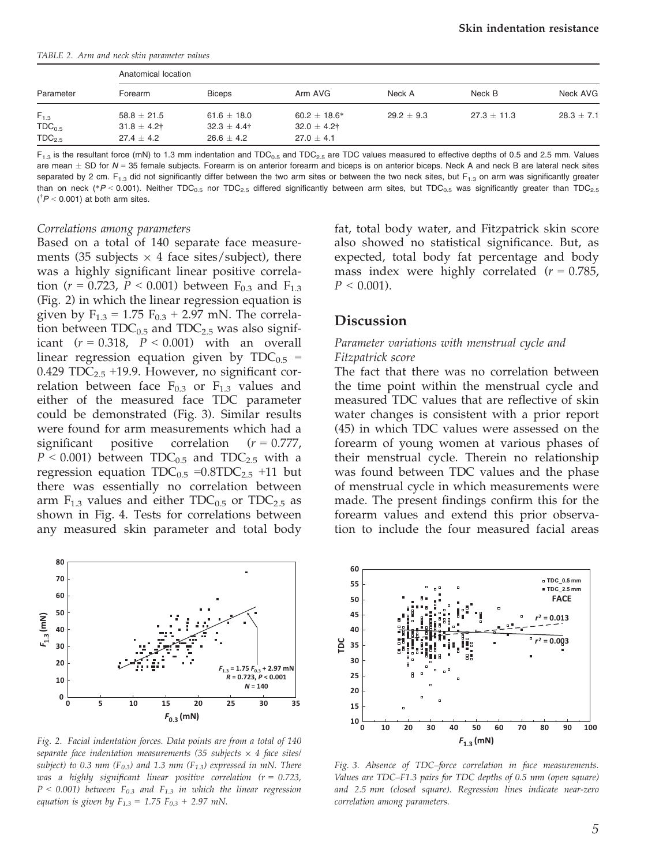TABLE 2. Arm and neck skin parameter values

| Parameter          |                  | Anatomical location |                   |              |               |                |  |  |  |
|--------------------|------------------|---------------------|-------------------|--------------|---------------|----------------|--|--|--|
|                    | Forearm          | <b>Biceps</b>       | Arm AVG           | Neck A       | Neck B        | Neck AVG       |  |  |  |
| $F_{1,3}$          | $58.8 \pm 21.5$  | 61.6 $\pm$ 18.0     | $60.2 \pm 18.6^*$ | $29.2 + 9.3$ | $27.3 + 11.3$ | $28.3 \pm 7.1$ |  |  |  |
| TDC <sub>0.5</sub> | $31.8 \pm 4.2$ † | $32.3 \pm 4.4$ †    | $32.0 \pm 4.2$ †  |              |               |                |  |  |  |
| TDC <sub>2.5</sub> | $27.4 + 4.2$     | $26.6 + 4.2$        | $27.0 + 4.1$      |              |               |                |  |  |  |

 $F_{1.3}$  is the resultant force (mN) to 1.3 mm indentation and TDC<sub>0.5</sub> and TDC<sub>2.5</sub> are TDC values measured to effective depths of 0.5 and 2.5 mm. Values are mean  $\pm$  SD for N = 35 female subjects. Forearm is on anterior forearm and biceps is on anterior biceps. Neck A and neck B are lateral neck sites separated by 2 cm. F<sub>1.3</sub> did not significantly differ between the two arm sites or between the two neck sites, but F<sub>1.3</sub> on arm was significantly greater than on neck (\*P < 0.001). Neither TDC<sub>0.5</sub> nor TDC<sub>2.5</sub> differed significantly between arm sites, but TDC<sub>0.5</sub> was significantly greater than TDC<sub>2.5</sub>  $(^{\dagger}P < 0.001)$  at both arm sites.

#### Correlations among parameters

Based on a total of 140 separate face measurements (35 subjects  $\times$  4 face sites/subject), there was a highly significant linear positive correlation ( $r = 0.723$ ,  $P < 0.001$ ) between F<sub>0.3</sub> and F<sub>1.3</sub> (Fig. 2) in which the linear regression equation is given by  $F_{1.3} = 1.75 F_{0.3} + 2.97$  mN. The correlation between  $TDC_{0.5}$  and  $TDC_{2.5}$  was also significant  $(r = 0.318, P < 0.001)$  with an overall linear regression equation given by  $TDC_{0.5}$  = 0.429  $TDC_{2.5}$  +19.9. However, no significant correlation between face  $F_{0.3}$  or  $F_{1.3}$  values and either of the measured face TDC parameter could be demonstrated (Fig. 3). Similar results were found for arm measurements which had a significant positive correlation  $(r = 0.777)$ ,  $P < 0.001$ ) between TDC<sub>0.5</sub> and TDC<sub>2.5</sub> with a regression equation  $TDC_{0.5} = 0.8TDC_{2.5} +11$  but there was essentially no correlation between arm  $F_{1,3}$  values and either TDC<sub>0.5</sub> or TDC<sub>2.5</sub> as shown in Fig. 4. Tests for correlations between any measured skin parameter and total body



Fig. 2. Facial indentation forces. Data points are from a total of 140 separate face indentation measurements (35 subjects  $\times$  4 face sites/ subject) to 0.3 mm ( $F_{0.3}$ ) and 1.3 mm ( $F_{1.3}$ ) expressed in mN. There was a highly significant linear positive correlation ( $r = 0.723$ ,  $P < 0.001$ ) between  $F_{0.3}$  and  $F_{1.3}$  in which the linear regression equation is given by  $F_{1.3} = 1.75 F_{0.3} + 2.97 mN$ .

fat, total body water, and Fitzpatrick skin score also showed no statistical significance. But, as expected, total body fat percentage and body mass index were highly correlated  $(r = 0.785)$ ,  $P < 0.001$ ).

### **Discussion**

#### Parameter variations with menstrual cycle and Fitzpatrick score

The fact that there was no correlation between the time point within the menstrual cycle and measured TDC values that are reflective of skin water changes is consistent with a prior report (45) in which TDC values were assessed on the forearm of young women at various phases of their menstrual cycle. Therein no relationship was found between TDC values and the phase of menstrual cycle in which measurements were made. The present findings confirm this for the forearm values and extend this prior observation to include the four measured facial areas



Fig. 3. Absence of TDC–force correlation in face measurements. Values are TDC–F1.3 pairs for TDC depths of 0.5 mm (open square) and 2.5 mm (closed square). Regression lines indicate near-zero correlation among parameters.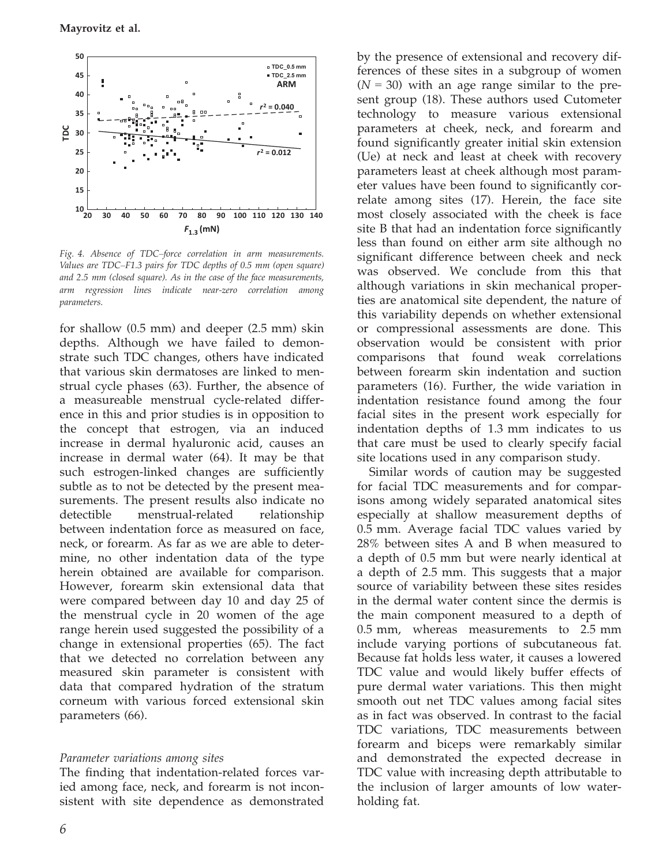Mayrovitz et al.



Fig. 4. Absence of TDC–force correlation in arm measurements. Values are TDC–F1.3 pairs for TDC depths of 0.5 mm (open square) and 2.5 mm (closed square). As in the case of the face measurements, arm regression lines indicate near-zero correlation among parameters.

for shallow (0.5 mm) and deeper (2.5 mm) skin depths. Although we have failed to demonstrate such TDC changes, others have indicated that various skin dermatoses are linked to menstrual cycle phases (63). Further, the absence of a measureable menstrual cycle-related difference in this and prior studies is in opposition to the concept that estrogen, via an induced increase in dermal hyaluronic acid, causes an increase in dermal water (64). It may be that such estrogen-linked changes are sufficiently subtle as to not be detected by the present measurements. The present results also indicate no detectible menstrual-related relationship between indentation force as measured on face, neck, or forearm. As far as we are able to determine, no other indentation data of the type herein obtained are available for comparison. However, forearm skin extensional data that were compared between day 10 and day 25 of the menstrual cycle in 20 women of the age range herein used suggested the possibility of a change in extensional properties (65). The fact that we detected no correlation between any measured skin parameter is consistent with data that compared hydration of the stratum corneum with various forced extensional skin parameters (66).

#### Parameter variations among sites

The finding that indentation-related forces varied among face, neck, and forearm is not inconsistent with site dependence as demonstrated

by the presence of extensional and recovery differences of these sites in a subgroup of women  $(N = 30)$  with an age range similar to the present group (18). These authors used Cutometer technology to measure various extensional parameters at cheek, neck, and forearm and found significantly greater initial skin extension (Ue) at neck and least at cheek with recovery parameters least at cheek although most parameter values have been found to significantly correlate among sites (17). Herein, the face site most closely associated with the cheek is face site B that had an indentation force significantly less than found on either arm site although no significant difference between cheek and neck was observed. We conclude from this that although variations in skin mechanical properties are anatomical site dependent, the nature of this variability depends on whether extensional or compressional assessments are done. This observation would be consistent with prior comparisons that found weak correlations between forearm skin indentation and suction parameters (16). Further, the wide variation in indentation resistance found among the four facial sites in the present work especially for indentation depths of 1.3 mm indicates to us that care must be used to clearly specify facial site locations used in any comparison study.

Similar words of caution may be suggested for facial TDC measurements and for comparisons among widely separated anatomical sites especially at shallow measurement depths of 0.5 mm. Average facial TDC values varied by 28% between sites A and B when measured to a depth of 0.5 mm but were nearly identical at a depth of 2.5 mm. This suggests that a major source of variability between these sites resides in the dermal water content since the dermis is the main component measured to a depth of 0.5 mm, whereas measurements to 2.5 mm include varying portions of subcutaneous fat. Because fat holds less water, it causes a lowered TDC value and would likely buffer effects of pure dermal water variations. This then might smooth out net TDC values among facial sites as in fact was observed. In contrast to the facial TDC variations, TDC measurements between forearm and biceps were remarkably similar and demonstrated the expected decrease in TDC value with increasing depth attributable to the inclusion of larger amounts of low waterholding fat.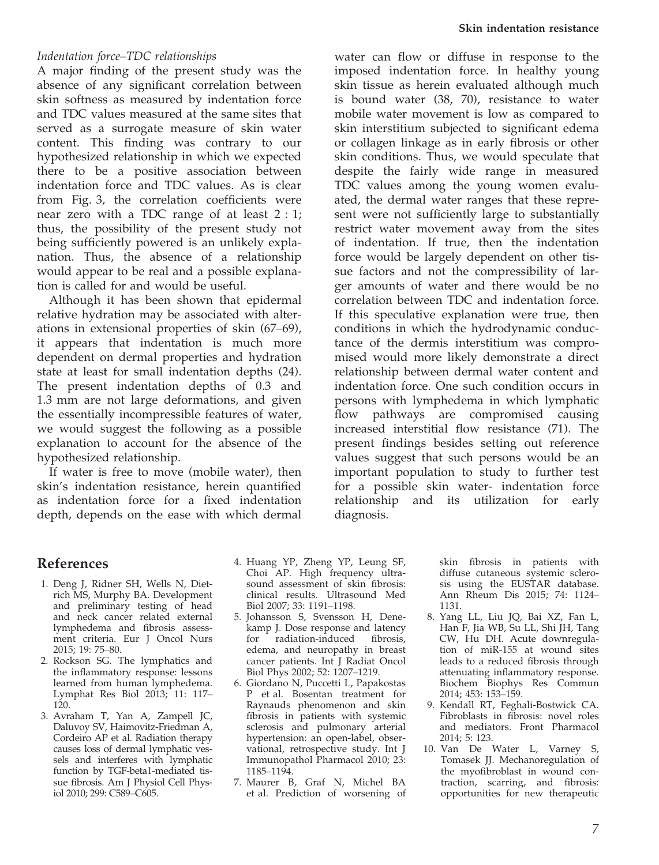## Indentation force–TDC relationships

A major finding of the present study was the absence of any significant correlation between skin softness as measured by indentation force and TDC values measured at the same sites that served as a surrogate measure of skin water content. This finding was contrary to our hypothesized relationship in which we expected there to be a positive association between indentation force and TDC values. As is clear from Fig. 3, the correlation coefficients were near zero with a TDC range of at least 2 : 1; thus, the possibility of the present study not being sufficiently powered is an unlikely explanation. Thus, the absence of a relationship would appear to be real and a possible explanation is called for and would be useful.

Although it has been shown that epidermal relative hydration may be associated with alterations in extensional properties of skin (67–69), it appears that indentation is much more dependent on dermal properties and hydration state at least for small indentation depths (24). The present indentation depths of 0.3 and 1.3 mm are not large deformations, and given the essentially incompressible features of water, we would suggest the following as a possible explanation to account for the absence of the hypothesized relationship.

If water is free to move (mobile water), then skin's indentation resistance, herein quantified as indentation force for a fixed indentation depth, depends on the ease with which dermal

## water can flow or diffuse in response to the imposed indentation force. In healthy young skin tissue as herein evaluated although much is bound water (38, 70), resistance to water mobile water movement is low as compared to skin interstitium subjected to significant edema or collagen linkage as in early fibrosis or other skin conditions. Thus, we would speculate that despite the fairly wide range in measured TDC values among the young women evaluated, the dermal water ranges that these represent were not sufficiently large to substantially restrict water movement away from the sites of indentation. If true, then the indentation force would be largely dependent on other tissue factors and not the compressibility of larger amounts of water and there would be no correlation between TDC and indentation force. If this speculative explanation were true, then conditions in which the hydrodynamic conductance of the dermis interstitium was compromised would more likely demonstrate a direct relationship between dermal water content and indentation force. One such condition occurs in persons with lymphedema in which lymphatic flow pathways are compromised causing increased interstitial flow resistance (71). The present findings besides setting out reference values suggest that such persons would be an important population to study to further test for a possible skin water- indentation force relationship and its utilization for early diagnosis.

# References

- 1. Deng J, Ridner SH, Wells N, Dietrich MS, Murphy BA. Development and preliminary testing of head and neck cancer related external lymphedema and fibrosis assessment criteria. Eur J Oncol Nurs 2015; 19: 75–80.
- 2. Rockson SG. The lymphatics and the inflammatory response: lessons learned from human lymphedema. Lymphat Res Biol 2013; 11: 117– 120.
- 3. Avraham T, Yan A, Zampell JC, Daluvoy SV, Haimovitz-Friedman A, Cordeiro AP et al. Radiation therapy causes loss of dermal lymphatic vessels and interferes with lymphatic function by TGF-beta1-mediated tissue fibrosis. Am J Physiol Cell Physiol 2010; 299: C589–C605.
- 4. Huang YP, Zheng YP, Leung SF, Choi AP. High frequency ultrasound assessment of skin fibrosis: clinical results. Ultrasound Med Biol 2007; 33: 1191–1198.
- 5. Johansson S, Svensson H, Denekamp J. Dose response and latency for radiation-induced fibrosis, edema, and neuropathy in breast cancer patients. Int J Radiat Oncol Biol Phys 2002; 52: 1207–1219.
- 6. Giordano N, Puccetti L, Papakostas P et al. Bosentan treatment for Raynauds phenomenon and skin fibrosis in patients with systemic sclerosis and pulmonary arterial hypertension: an open-label, observational, retrospective study. Int J Immunopathol Pharmacol 2010; 23: 1185–1194.
- 7. Maurer B, Graf N, Michel BA et al. Prediction of worsening of

skin fibrosis in patients with diffuse cutaneous systemic sclerosis using the EUSTAR database. Ann Rheum Dis 2015; 74: 1124– 1131.

- 8. Yang LL, Liu JQ, Bai XZ, Fan L, Han F, Jia WB, Su LL, Shi JH, Tang CW, Hu DH. Acute downregulation of miR-155 at wound sites leads to a reduced fibrosis through attenuating inflammatory response. Biochem Biophys Res Commun 2014; 453: 153–159.
- 9. Kendall RT, Feghali-Bostwick CA. Fibroblasts in fibrosis: novel roles and mediators. Front Pharmacol 2014; 5: 123.
- 10. Van De Water L, Varney S, Tomasek JJ. Mechanoregulation of the myofibroblast in wound contraction, scarring, and fibrosis: opportunities for new therapeutic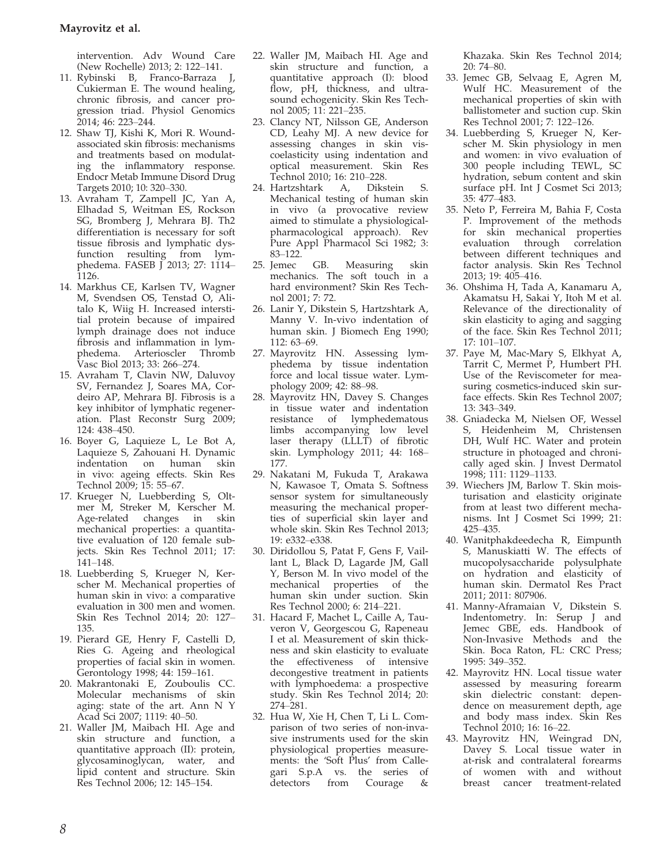intervention. Adv Wound Care (New Rochelle) 2013; 2: 122–141.

- 11. Rybinski B, Franco-Barraza J, Cukierman E. The wound healing, chronic fibrosis, and cancer progression triad. Physiol Genomics 2014; 46: 223–244.
- 12. Shaw TJ, Kishi K, Mori R. Woundassociated skin fibrosis: mechanisms and treatments based on modulating the inflammatory response. Endocr Metab Immune Disord Drug Targets 2010; 10: 320–330.
- 13. Avraham T, Zampell JC, Yan A, Elhadad S, Weitman ES, Rockson SG, Bromberg J, Mehrara BJ. Th2 differentiation is necessary for soft tissue fibrosis and lymphatic dysfunction resulting from lymphedema. FASEB J 2013; 27: 1114– 1126.
- 14. Markhus CE, Karlsen TV, Wagner M, Svendsen OS, Tenstad O, Alitalo K, Wiig H. Increased interstitial protein because of impaired lymph drainage does not induce fibrosis and inflammation in lym-<br>phedema. Arterioscler Thromb phedema. Arterioscler Vasc Biol 2013; 33: 266–274.
- 15. Avraham T, Clavin NW, Daluvoy SV, Fernandez J, Soares MA, Cordeiro AP, Mehrara BJ. Fibrosis is a key inhibitor of lymphatic regeneration. Plast Reconstr Surg 2009; 124: 438–450.
- 16. Boyer G, Laquieze L, Le Bot A, Laquieze S, Zahouani H. Dynamic indentation on human skin in vivo: ageing effects. Skin Res Technol 2009; 15: 55–67.
- 17. Krueger N, Luebberding S, Oltmer M, Streker M, Kerscher M. Age-related changes in skin mechanical properties: a quantitative evaluation of 120 female subjects. Skin Res Technol 2011; 17: 141–148.
- 18. Luebberding S, Krueger N, Kerscher M. Mechanical properties of human skin in vivo: a comparative evaluation in 300 men and women. Skin Res Technol 2014; 20: 127– 135.
- 19. Pierard GE, Henry F, Castelli D, Ries G. Ageing and rheological properties of facial skin in women. Gerontology 1998; 44: 159–161.
- 20. Makrantonaki E, Zouboulis CC. Molecular mechanisms of skin aging: state of the art. Ann N Y Acad Sci 2007; 1119: 40–50.
- 21. Waller JM, Maibach HI. Age and skin structure and function, a quantitative approach (II): protein, glycosaminoglycan, water, and lipid content and structure. Skin Res Technol 2006; 12: 145–154.
- 22. Waller JM, Maibach HI. Age and skin structure and function, a quantitative approach (I): blood flow, pH, thickness, and ultrasound echogenicity. Skin Res Technol 2005; 11: 221–235.
- 23. Clancy NT, Nilsson GE, Anderson CD, Leahy MJ. A new device for assessing changes in skin viscoelasticity using indentation and optical measurement. Skin Res Technol 2010; 16: 210–228.<br>24. Hartzshtark – A. Diks
- A, Dikstein S. Mechanical testing of human skin in vivo (a provocative review aimed to stimulate a physiologicalpharmacological approach). Rev Pure Appl Pharmacol Sci 1982; 3: 83–122.
- 25. Jemec GB. Measuring skin mechanics. The soft touch in a hard environment? Skin Res Technol 2001; 7: 72.
- 26. Lanir Y, Dikstein S, Hartzshtark A, Manny V. In-vivo indentation of human skin. J Biomech Eng 1990; 112: 63–69.
- 27. Mayrovitz HN. Assessing lymphedema by tissue indentation force and local tissue water. Lymphology 2009; 42: 88–98.
- 28. Mayrovitz HN, Davey S. Changes in tissue water and indentation resistance of lymphedematous limbs accompanying low level laser therapy (LLLT) of fibrotic skin. Lymphology 2011; 44: 168– 177.
- 29. Nakatani M, Fukuda T, Arakawa N, Kawasoe T, Omata S. Softness sensor system for simultaneously measuring the mechanical properties of superficial skin layer and whole skin. Skin Res Technol 2013; 19: e332–e338.
- 30. Diridollou S, Patat F, Gens F, Vaillant L, Black D, Lagarde JM, Gall Y, Berson M. In vivo model of the mechanical properties of the human skin under suction. Skin Res Technol 2000; 6: 214–221.
- 31. Hacard F, Machet L, Caille A, Tauveron V, Georgescou G, Rapeneau I et al. Measurement of skin thickness and skin elasticity to evaluate the effectiveness of intensive decongestive treatment in patients with lymphoedema: a prospective study. Skin Res Technol 2014; 20: 274–281.
- 32. Hua W, Xie H, Chen T, Li L. Comparison of two series of non-invasive instruments used for the skin physiological properties measurements: the 'Soft Plus' from Callegari S.p.A vs. the series of detectors from Courage &

Khazaka. Skin Res Technol 2014; 20: 74–80.

- 33. Jemec GB, Selvaag E, Agren M, Wulf HC. Measurement of the mechanical properties of skin with ballistometer and suction cup. Skin Res Technol 2001; 7: 122–126.
- 34. Luebberding S, Krueger N, Kerscher M. Skin physiology in men and women: in vivo evaluation of 300 people including TEWL, SC hydration, sebum content and skin surface pH. Int J Cosmet Sci 2013; 35: 477–483.
- 35. Neto P, Ferreira M, Bahia F, Costa P. Improvement of the methods for skin mechanical properties evaluation through correlation between different techniques and factor analysis. Skin Res Technol 2013; 19: 405–416.
- 36. Ohshima H, Tada A, Kanamaru A, Akamatsu H, Sakai Y, Itoh M et al. Relevance of the directionality of skin elasticity to aging and sagging of the face. Skin Res Technol 2011; 17: 101–107.
- 37. Paye M, Mac-Mary S, Elkhyat A, Tarrit C, Mermet P, Humbert PH. Use of the Reviscometer for measuring cosmetics-induced skin surface effects. Skin Res Technol 2007; 13: 343–349.
- 38. Gniadecka M, Nielsen OF, Wessel S, Heidenheim M, Christensen DH, Wulf HC. Water and protein structure in photoaged and chronically aged skin. J Invest Dermatol 1998; 111: 1129–1133.
- 39. Wiechers JM, Barlow T. Skin moisturisation and elasticity originate from at least two different mechanisms. Int J Cosmet Sci 1999; 21: 425–435.
- 40. Wanitphakdeedecha R, Eimpunth S, Manuskiatti W. The effects of mucopolysaccharide polysulphate on hydration and elasticity of human skin. Dermatol Res Pract 2011; 2011: 807906.
- 41. Manny-Aframaian V, Dikstein S. Indentometry. In: Serup J and Jemec GBE, eds. Handbook of Non-Invasive Methods and the Skin. Boca Raton, FL: CRC Press; 1995: 349–352.
- 42. Mayrovitz HN. Local tissue water assessed by measuring forearm skin dielectric constant: dependence on measurement depth, age and body mass index. Skin Res Technol 2010; 16: 16–22.
- 43. Mayrovitz HN, Weingrad DN, Davey S. Local tissue water in at-risk and contralateral forearms of women with and without breast cancer treatment-related